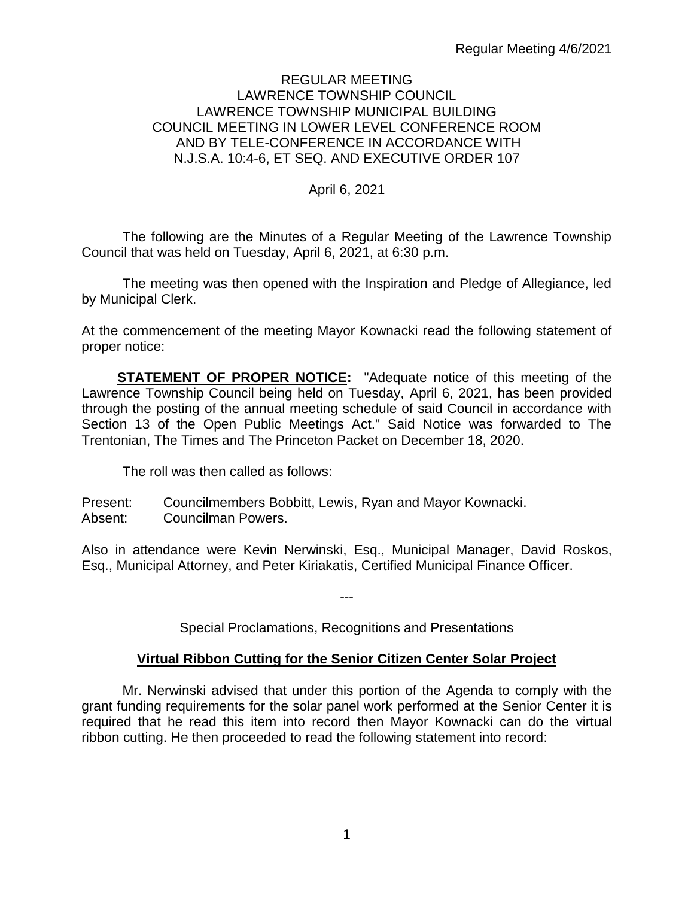## REGULAR MEETING LAWRENCE TOWNSHIP COUNCIL LAWRENCE TOWNSHIP MUNICIPAL BUILDING COUNCIL MEETING IN LOWER LEVEL CONFERENCE ROOM AND BY TELE-CONFERENCE IN ACCORDANCE WITH N.J.S.A. 10:4-6, ET SEQ. AND EXECUTIVE ORDER 107

## April 6, 2021

The following are the Minutes of a Regular Meeting of the Lawrence Township Council that was held on Tuesday, April 6, 2021, at 6:30 p.m.

The meeting was then opened with the Inspiration and Pledge of Allegiance, led by Municipal Clerk.

At the commencement of the meeting Mayor Kownacki read the following statement of proper notice:

**STATEMENT OF PROPER NOTICE:** "Adequate notice of this meeting of the Lawrence Township Council being held on Tuesday, April 6, 2021, has been provided through the posting of the annual meeting schedule of said Council in accordance with Section 13 of the Open Public Meetings Act." Said Notice was forwarded to The Trentonian, The Times and The Princeton Packet on December 18, 2020.

The roll was then called as follows:

Present: Councilmembers Bobbitt, Lewis, Ryan and Mayor Kownacki. Absent: Councilman Powers.

Also in attendance were Kevin Nerwinski, Esq., Municipal Manager, David Roskos, Esq., Municipal Attorney, and Peter Kiriakatis, Certified Municipal Finance Officer.

---

Special Proclamations, Recognitions and Presentations

## **Virtual Ribbon Cutting for the Senior Citizen Center Solar Project**

Mr. Nerwinski advised that under this portion of the Agenda to comply with the grant funding requirements for the solar panel work performed at the Senior Center it is required that he read this item into record then Mayor Kownacki can do the virtual ribbon cutting. He then proceeded to read the following statement into record: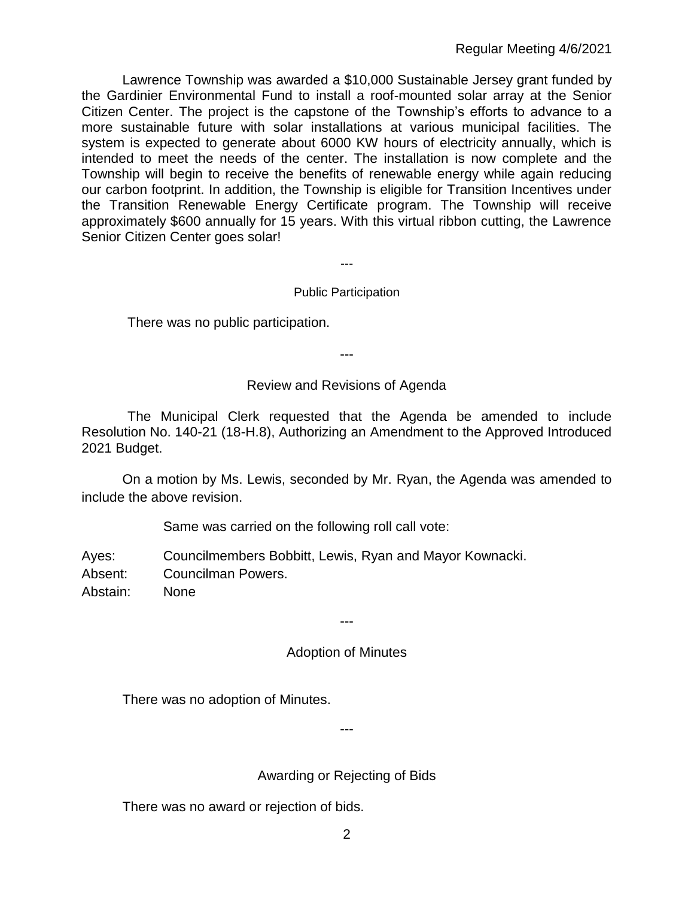Lawrence Township was awarded a \$10,000 Sustainable Jersey grant funded by the Gardinier Environmental Fund to install a roof-mounted solar array at the Senior Citizen Center. The project is the capstone of the Township's efforts to advance to a more sustainable future with solar installations at various municipal facilities. The system is expected to generate about 6000 KW hours of electricity annually, which is intended to meet the needs of the center. The installation is now complete and the Township will begin to receive the benefits of renewable energy while again reducing our carbon footprint. In addition, the Township is eligible for Transition Incentives under the Transition Renewable Energy Certificate program. The Township will receive approximately \$600 annually for 15 years. With this virtual ribbon cutting, the Lawrence Senior Citizen Center goes solar!

---

# Public Participation

There was no public participation.

---

# Review and Revisions of Agenda

The Municipal Clerk requested that the Agenda be amended to include Resolution No. 140-21 (18-H.8), Authorizing an Amendment to the Approved Introduced 2021 Budget.

On a motion by Ms. Lewis, seconded by Mr. Ryan, the Agenda was amended to include the above revision.

Same was carried on the following roll call vote:

Ayes: Councilmembers Bobbitt, Lewis, Ryan and Mayor Kownacki.

Absent: Councilman Powers.

Abstain: None

---

# Adoption of Minutes

There was no adoption of Minutes.

Awarding or Rejecting of Bids

---

There was no award or rejection of bids.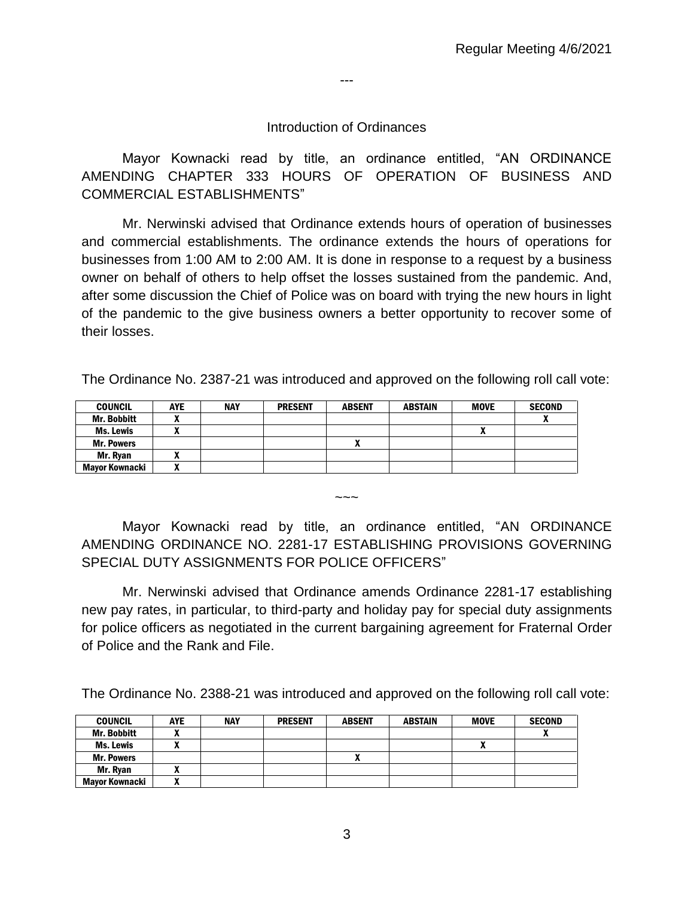---

#### Introduction of Ordinances

Mayor Kownacki read by title, an ordinance entitled, "AN ORDINANCE AMENDING CHAPTER 333 HOURS OF OPERATION OF BUSINESS AND COMMERCIAL ESTABLISHMENTS"

Mr. Nerwinski advised that Ordinance extends hours of operation of businesses and commercial establishments. The ordinance extends the hours of operations for businesses from 1:00 AM to 2:00 AM. It is done in response to a request by a business owner on behalf of others to help offset the losses sustained from the pandemic. And, after some discussion the Chief of Police was on board with trying the new hours in light of the pandemic to the give business owners a better opportunity to recover some of their losses.

The Ordinance No. 2387-21 was introduced and approved on the following roll call vote:

| <b>COUNCIL</b>     | <b>AYE</b> | <b>NAY</b> | <b>PRESENT</b> | <b>ABSENT</b> | <b>ABSTAIN</b> | <b>MOVE</b> | <b>SECOND</b> |
|--------------------|------------|------------|----------------|---------------|----------------|-------------|---------------|
| <b>Mr. Bobbitt</b> |            |            |                |               |                |             | $\mathbf{v}$  |
| <b>Ms. Lewis</b>   |            |            |                |               |                | л           |               |
| <b>Mr. Powers</b>  |            |            |                |               |                |             |               |
| Mr. Ryan           |            |            |                |               |                |             |               |
| Mavor Kownacki     |            |            |                |               |                |             |               |

Mayor Kownacki read by title, an ordinance entitled, "AN ORDINANCE AMENDING ORDINANCE NO. 2281-17 ESTABLISHING PROVISIONS GOVERNING SPECIAL DUTY ASSIGNMENTS FOR POLICE OFFICERS"

 $\sim$   $\sim$ 

Mr. Nerwinski advised that Ordinance amends Ordinance 2281-17 establishing new pay rates, in particular, to third-party and holiday pay for special duty assignments for police officers as negotiated in the current bargaining agreement for Fraternal Order of Police and the Rank and File.

The Ordinance No. 2388-21 was introduced and approved on the following roll call vote:

| <b>COUNCIL</b>     | <b>AYE</b> | <b>NAY</b> | <b>PRESENT</b> | <b>ABSENT</b> | <b>ABSTAIN</b> | <b>MOVE</b> | <b>SECOND</b> |
|--------------------|------------|------------|----------------|---------------|----------------|-------------|---------------|
| <b>Mr. Bobbitt</b> |            |            |                |               |                |             |               |
| Ms. Lewis          |            |            |                |               |                |             |               |
| <b>Mr. Powers</b>  |            |            |                |               |                |             |               |
| Mr. Rvan           |            |            |                |               |                |             |               |
| Mavor Kownacki     |            |            |                |               |                |             |               |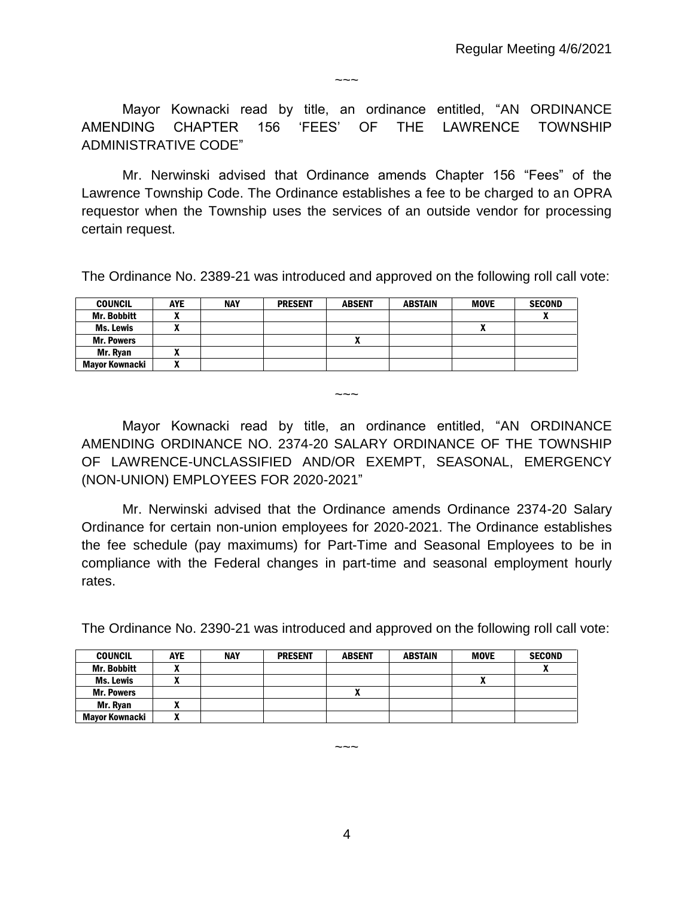$\sim\sim\sim$ 

Mayor Kownacki read by title, an ordinance entitled, "AN ORDINANCE AMENDING CHAPTER 156 'FEES' OF THE LAWRENCE TOWNSHIP ADMINISTRATIVE CODE"

Mr. Nerwinski advised that Ordinance amends Chapter 156 "Fees" of the Lawrence Township Code. The Ordinance establishes a fee to be charged to an OPRA requestor when the Township uses the services of an outside vendor for processing certain request.

The Ordinance No. 2389-21 was introduced and approved on the following roll call vote:

| <b>COUNCIL</b>     | <b>AYE</b>     | <b>NAY</b> | <b>PRESENT</b> | <b>ABSENT</b> | ABSTAIN | <b>MOVE</b> | <b>SECOND</b> |
|--------------------|----------------|------------|----------------|---------------|---------|-------------|---------------|
| <b>Mr. Bobbitt</b> | $\bullet$<br>^ |            |                |               |         |             |               |
| Ms. Lewis          | -              |            |                |               |         | n           |               |
| <b>Mr. Powers</b>  |                |            |                |               |         |             |               |
| Mr. Rvan           | -<br>~         |            |                |               |         |             |               |
| Mavor Kownacki     | $\bullet$<br>~ |            |                |               |         |             |               |

 $\sim\sim\sim$ 

Mayor Kownacki read by title, an ordinance entitled, "AN ORDINANCE AMENDING ORDINANCE NO. 2374-20 SALARY ORDINANCE OF THE TOWNSHIP OF LAWRENCE-UNCLASSIFIED AND/OR EXEMPT, SEASONAL, EMERGENCY (NON-UNION) EMPLOYEES FOR 2020-2021"

Mr. Nerwinski advised that the Ordinance amends Ordinance 2374-20 Salary Ordinance for certain non-union employees for 2020-2021. The Ordinance establishes the fee schedule (pay maximums) for Part-Time and Seasonal Employees to be in compliance with the Federal changes in part-time and seasonal employment hourly rates.

The Ordinance No. 2390-21 was introduced and approved on the following roll call vote:

| <b>COUNCIL</b>        | <b>AYE</b> | <b>NAY</b> | <b>PRESENT</b> | <b>ABSENT</b> | <b>ABSTAIN</b> | <b>MOVE</b>  | <b>SECOND</b> |
|-----------------------|------------|------------|----------------|---------------|----------------|--------------|---------------|
| <b>Mr. Bobbitt</b>    |            |            |                |               |                |              |               |
| Ms. Lewis             |            |            |                |               |                | $\mathbf{r}$ |               |
| <b>Mr. Powers</b>     |            |            |                | ~             |                |              |               |
| Mr. Ryan              |            |            |                |               |                |              |               |
| <b>Mayor Kownacki</b> |            |            |                |               |                |              |               |

4

 $\sim\sim\sim$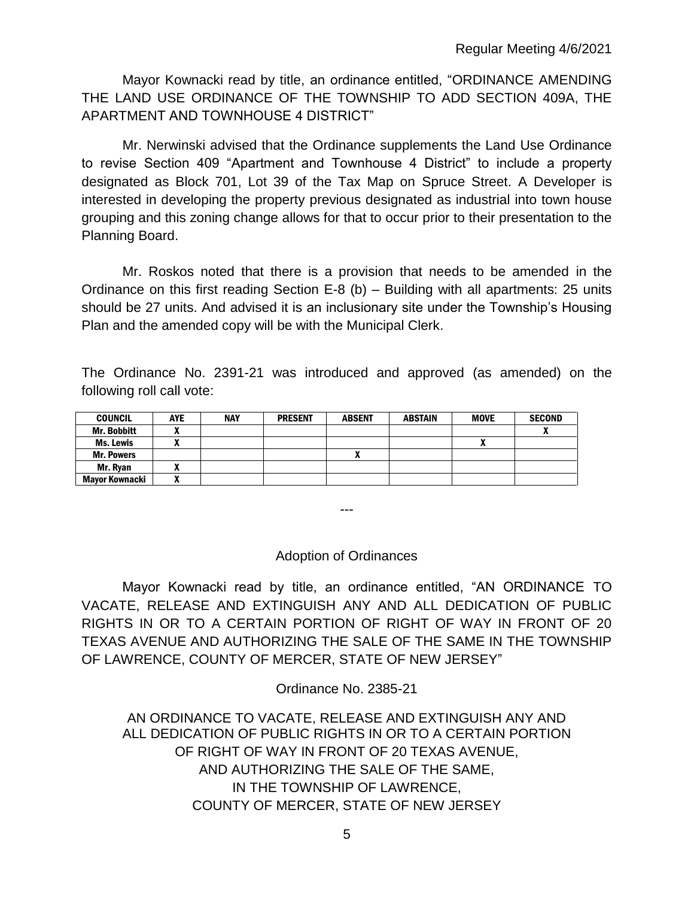Mayor Kownacki read by title, an ordinance entitled, "ORDINANCE AMENDING THE LAND USE ORDINANCE OF THE TOWNSHIP TO ADD SECTION 409A, THE APARTMENT AND TOWNHOUSE 4 DISTRICT"

Mr. Nerwinski advised that the Ordinance supplements the Land Use Ordinance to revise Section 409 "Apartment and Townhouse 4 District" to include a property designated as Block 701, Lot 39 of the Tax Map on Spruce Street. A Developer is interested in developing the property previous designated as industrial into town house grouping and this zoning change allows for that to occur prior to their presentation to the Planning Board.

Mr. Roskos noted that there is a provision that needs to be amended in the Ordinance on this first reading Section E-8 (b) – Building with all apartments: 25 units should be 27 units. And advised it is an inclusionary site under the Township's Housing Plan and the amended copy will be with the Municipal Clerk.

The Ordinance No. 2391-21 was introduced and approved (as amended) on the following roll call vote:

| <b>COUNCIL</b>     | <b>AYE</b> | <b>NAY</b> | <b>PRESENT</b> | <b>ABSENT</b> | <b>ABSTAIN</b> | <b>MOVE</b> | <b>SECOND</b> |
|--------------------|------------|------------|----------------|---------------|----------------|-------------|---------------|
| <b>Mr. Bobbitt</b> | ,,,        |            |                |               |                |             |               |
| <b>Ms. Lewis</b>   |            |            |                |               |                | A           |               |
| <b>Mr. Powers</b>  |            |            |                |               |                |             |               |
| Mr. Rvan           |            |            |                |               |                |             |               |
| Mavor Kownacki     |            |            |                |               |                |             |               |

---

## Adoption of Ordinances

Mayor Kownacki read by title, an ordinance entitled, "AN ORDINANCE TO VACATE, RELEASE AND EXTINGUISH ANY AND ALL DEDICATION OF PUBLIC RIGHTS IN OR TO A CERTAIN PORTION OF RIGHT OF WAY IN FRONT OF 20 TEXAS AVENUE AND AUTHORIZING THE SALE OF THE SAME IN THE TOWNSHIP OF LAWRENCE, COUNTY OF MERCER, STATE OF NEW JERSEY"

Ordinance No. 2385-21

AN ORDINANCE TO VACATE, RELEASE AND EXTINGUISH ANY AND ALL DEDICATION OF PUBLIC RIGHTS IN OR TO A CERTAIN PORTION OF RIGHT OF WAY IN FRONT OF 20 TEXAS AVENUE, AND AUTHORIZING THE SALE OF THE SAME, IN THE TOWNSHIP OF LAWRENCE, COUNTY OF MERCER, STATE OF NEW JERSEY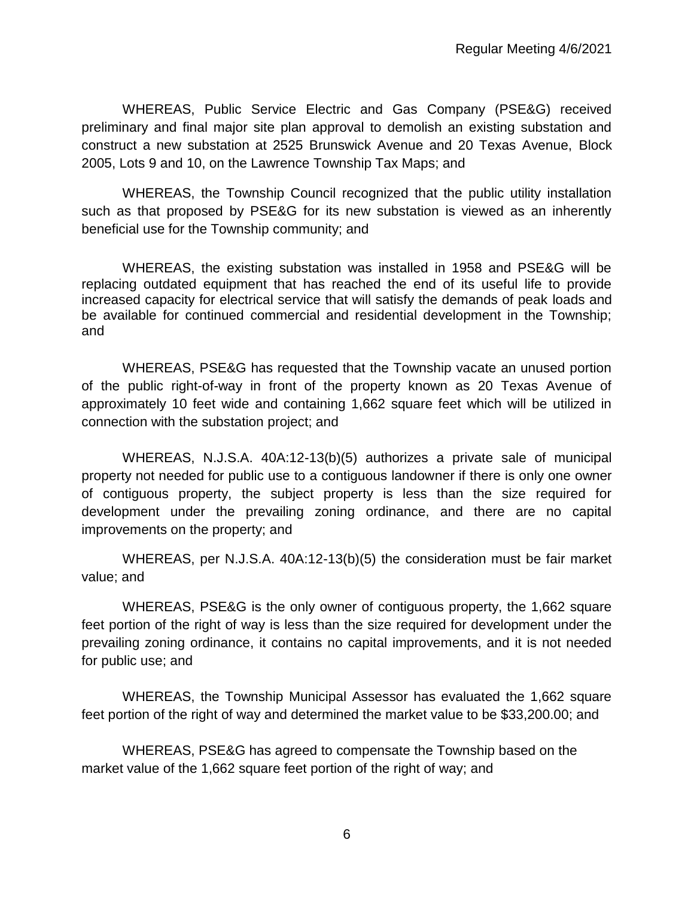WHEREAS, Public Service Electric and Gas Company (PSE&G) received preliminary and final major site plan approval to demolish an existing substation and construct a new substation at 2525 Brunswick Avenue and 20 Texas Avenue, Block 2005, Lots 9 and 10, on the Lawrence Township Tax Maps; and

WHEREAS, the Township Council recognized that the public utility installation such as that proposed by PSE&G for its new substation is viewed as an inherently beneficial use for the Township community; and

WHEREAS, the existing substation was installed in 1958 and PSE&G will be replacing outdated equipment that has reached the end of its useful life to provide increased capacity for electrical service that will satisfy the demands of peak loads and be available for continued commercial and residential development in the Township; and

WHEREAS, PSE&G has requested that the Township vacate an unused portion of the public right-of-way in front of the property known as 20 Texas Avenue of approximately 10 feet wide and containing 1,662 square feet which will be utilized in connection with the substation project; and

WHEREAS, N.J.S.A. 40A:12-13(b)(5) authorizes a private sale of municipal property not needed for public use to a contiguous landowner if there is only one owner of contiguous property, the subject property is less than the size required for development under the prevailing zoning ordinance, and there are no capital improvements on the property; and

WHEREAS, per N.J.S.A. 40A:12-13(b)(5) the consideration must be fair market value; and

WHEREAS, PSE&G is the only owner of contiguous property, the 1,662 square feet portion of the right of way is less than the size required for development under the prevailing zoning ordinance, it contains no capital improvements, and it is not needed for public use; and

WHEREAS, the Township Municipal Assessor has evaluated the 1,662 square feet portion of the right of way and determined the market value to be \$33,200.00; and

WHEREAS, PSE&G has agreed to compensate the Township based on the market value of the 1,662 square feet portion of the right of way; and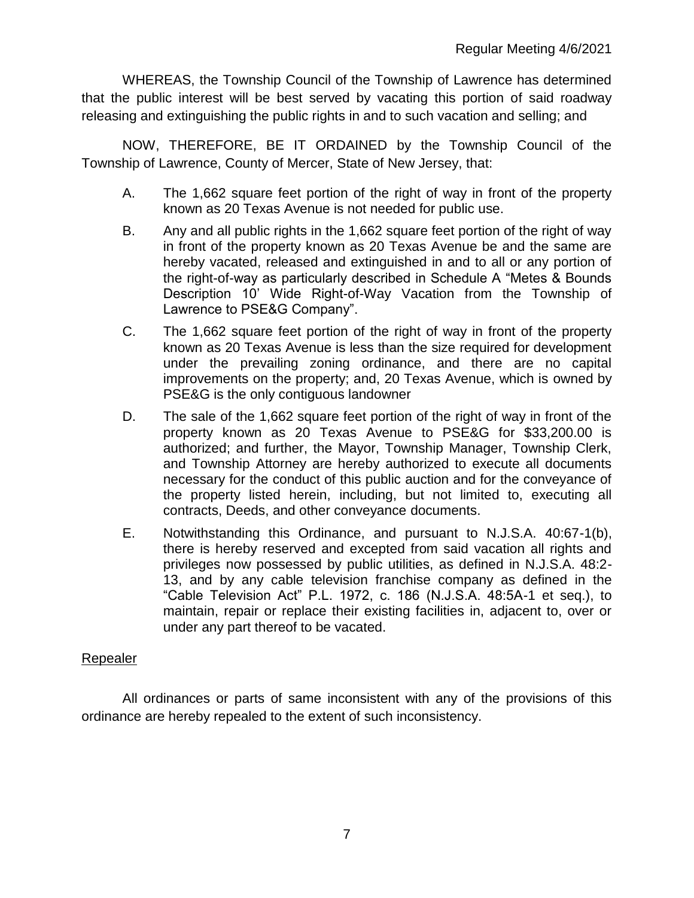WHEREAS, the Township Council of the Township of Lawrence has determined that the public interest will be best served by vacating this portion of said roadway releasing and extinguishing the public rights in and to such vacation and selling; and

NOW, THEREFORE, BE IT ORDAINED by the Township Council of the Township of Lawrence, County of Mercer, State of New Jersey, that:

- A. The 1,662 square feet portion of the right of way in front of the property known as 20 Texas Avenue is not needed for public use.
- B. Any and all public rights in the 1,662 square feet portion of the right of way in front of the property known as 20 Texas Avenue be and the same are hereby vacated, released and extinguished in and to all or any portion of the right-of-way as particularly described in Schedule A "Metes & Bounds Description 10' Wide Right-of-Way Vacation from the Township of Lawrence to PSE&G Company".
- C. The 1,662 square feet portion of the right of way in front of the property known as 20 Texas Avenue is less than the size required for development under the prevailing zoning ordinance, and there are no capital improvements on the property; and, 20 Texas Avenue, which is owned by PSE&G is the only contiguous landowner
- D. The sale of the 1,662 square feet portion of the right of way in front of the property known as 20 Texas Avenue to PSE&G for \$33,200.00 is authorized; and further, the Mayor, Township Manager, Township Clerk, and Township Attorney are hereby authorized to execute all documents necessary for the conduct of this public auction and for the conveyance of the property listed herein, including, but not limited to, executing all contracts, Deeds, and other conveyance documents.
- E. Notwithstanding this Ordinance, and pursuant to N.J.S.A. 40:67-1(b), there is hereby reserved and excepted from said vacation all rights and privileges now possessed by public utilities, as defined in N.J.S.A. 48:2- 13, and by any cable television franchise company as defined in the "Cable Television Act" P.L. 1972, c. 186 (N.J.S.A. 48:5A-1 et seq.), to maintain, repair or replace their existing facilities in, adjacent to, over or under any part thereof to be vacated.

# Repealer

All ordinances or parts of same inconsistent with any of the provisions of this ordinance are hereby repealed to the extent of such inconsistency.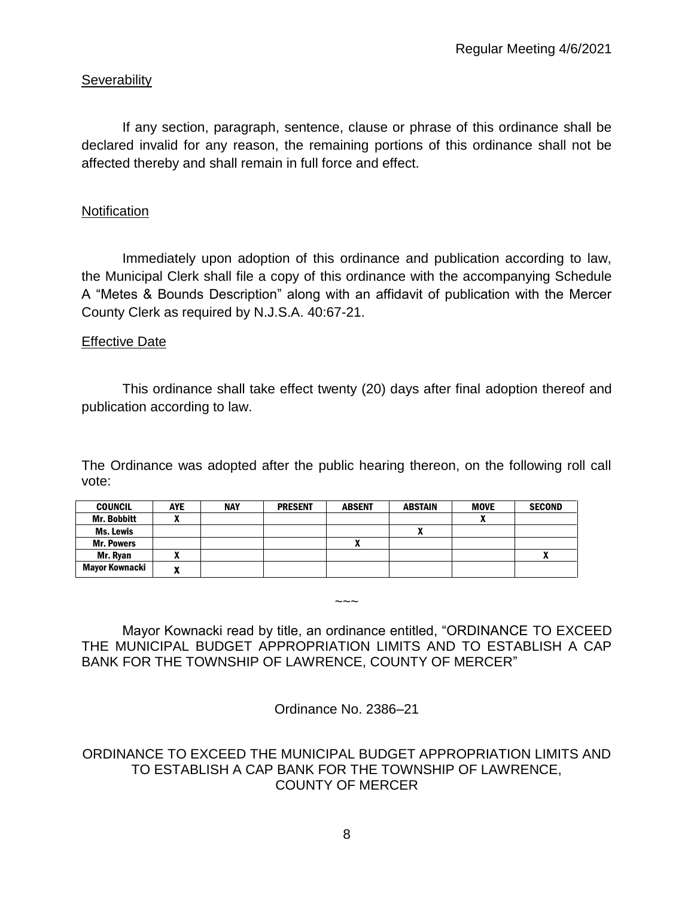# **Severability**

If any section, paragraph, sentence, clause or phrase of this ordinance shall be declared invalid for any reason, the remaining portions of this ordinance shall not be affected thereby and shall remain in full force and effect.

## **Notification**

Immediately upon adoption of this ordinance and publication according to law, the Municipal Clerk shall file a copy of this ordinance with the accompanying Schedule A "Metes & Bounds Description" along with an affidavit of publication with the Mercer County Clerk as required by N.J.S.A. 40:67-21.

## **Effective Date**

This ordinance shall take effect twenty (20) days after final adoption thereof and publication according to law.

The Ordinance was adopted after the public hearing thereon, on the following roll call vote:

| <b>COUNCIL</b>        | <b>AYE</b> | <b>NAY</b> | <b>PRESENT</b> | <b>ABSENT</b> | <b>ABSTAIN</b> | <b>MOVE</b> | <b>SECOND</b> |
|-----------------------|------------|------------|----------------|---------------|----------------|-------------|---------------|
| Mr. Bobbitt           |            |            |                |               |                |             |               |
| Ms. Lewis             |            |            |                |               |                |             |               |
| <b>Mr. Powers</b>     |            |            |                | Λ             |                |             |               |
| Mr. Ryan              | n          |            |                |               |                |             |               |
| <b>Mayor Kownacki</b> | w          |            |                |               |                |             |               |

Mayor Kownacki read by title, an ordinance entitled, "ORDINANCE TO EXCEED THE MUNICIPAL BUDGET APPROPRIATION LIMITS AND TO ESTABLISH A CAP BANK FOR THE TOWNSHIP OF LAWRENCE, COUNTY OF MERCER"

 $\sim\sim\sim$ 

Ordinance No. 2386–21

# ORDINANCE TO EXCEED THE MUNICIPAL BUDGET APPROPRIATION LIMITS AND TO ESTABLISH A CAP BANK FOR THE TOWNSHIP OF LAWRENCE, COUNTY OF MERCER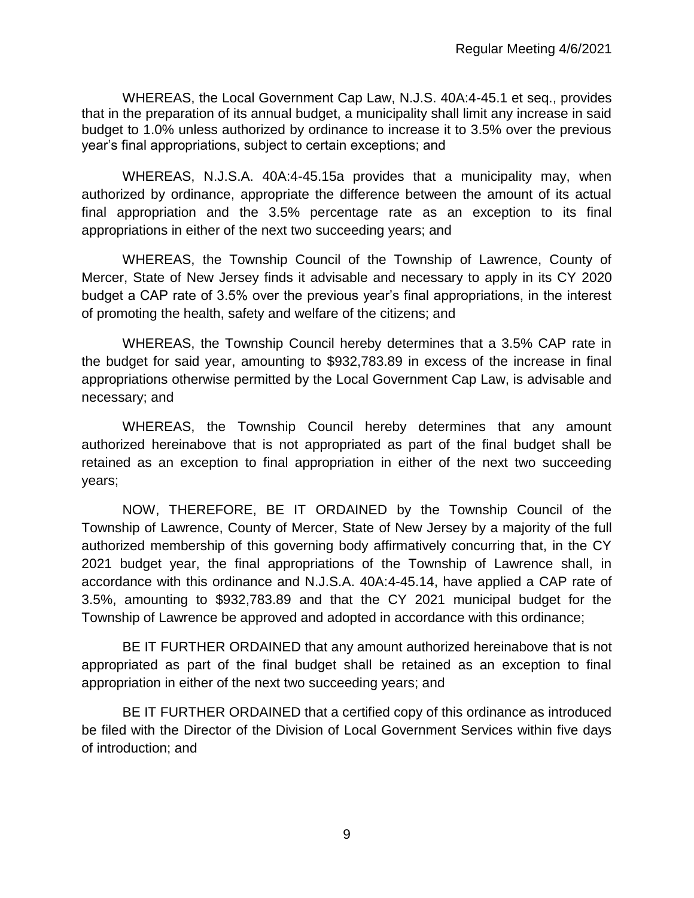WHEREAS, the Local Government Cap Law, N.J.S. 40A:4-45.1 et seq., provides that in the preparation of its annual budget, a municipality shall limit any increase in said budget to 1.0% unless authorized by ordinance to increase it to 3.5% over the previous year's final appropriations, subject to certain exceptions; and

WHEREAS, N.J.S.A. 40A:4-45.15a provides that a municipality may, when authorized by ordinance, appropriate the difference between the amount of its actual final appropriation and the 3.5% percentage rate as an exception to its final appropriations in either of the next two succeeding years; and

WHEREAS, the Township Council of the Township of Lawrence, County of Mercer, State of New Jersey finds it advisable and necessary to apply in its CY 2020 budget a CAP rate of 3.5% over the previous year's final appropriations, in the interest of promoting the health, safety and welfare of the citizens; and

WHEREAS, the Township Council hereby determines that a 3.5% CAP rate in the budget for said year, amounting to \$932,783.89 in excess of the increase in final appropriations otherwise permitted by the Local Government Cap Law, is advisable and necessary; and

WHEREAS, the Township Council hereby determines that any amount authorized hereinabove that is not appropriated as part of the final budget shall be retained as an exception to final appropriation in either of the next two succeeding years;

NOW, THEREFORE, BE IT ORDAINED by the Township Council of the Township of Lawrence, County of Mercer, State of New Jersey by a majority of the full authorized membership of this governing body affirmatively concurring that, in the CY 2021 budget year, the final appropriations of the Township of Lawrence shall, in accordance with this ordinance and N.J.S.A. 40A:4-45.14, have applied a CAP rate of 3.5%, amounting to \$932,783.89 and that the CY 2021 municipal budget for the Township of Lawrence be approved and adopted in accordance with this ordinance;

BE IT FURTHER ORDAINED that any amount authorized hereinabove that is not appropriated as part of the final budget shall be retained as an exception to final appropriation in either of the next two succeeding years; and

BE IT FURTHER ORDAINED that a certified copy of this ordinance as introduced be filed with the Director of the Division of Local Government Services within five days of introduction; and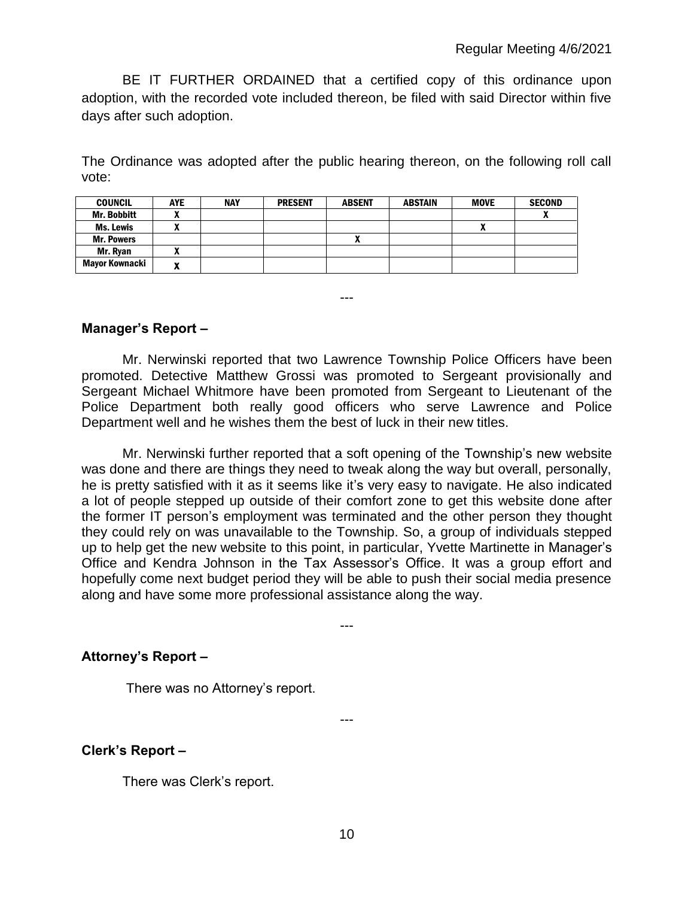BE IT FURTHER ORDAINED that a certified copy of this ordinance upon adoption, with the recorded vote included thereon, be filed with said Director within five days after such adoption.

The Ordinance was adopted after the public hearing thereon, on the following roll call vote:

| <b>COUNCIL</b>     | <b>AYE</b> | <b>NAY</b> | <b>PRESENT</b> | <b>ABSENT</b> | <b>ABSTAIN</b> | <b>MOVE</b> | <b>SECOND</b> |
|--------------------|------------|------------|----------------|---------------|----------------|-------------|---------------|
| <b>Mr. Bobbitt</b> |            |            |                |               |                |             |               |
| <b>Ms. Lewis</b>   |            |            |                |               |                | A           |               |
| <b>Mr. Powers</b>  |            |            |                |               |                |             |               |
| Mr. Rvan           |            |            |                |               |                |             |               |
| Mayor Kownacki     |            |            |                |               |                |             |               |

---

## **Manager's Report –**

Mr. Nerwinski reported that two Lawrence Township Police Officers have been promoted. Detective Matthew Grossi was promoted to Sergeant provisionally and Sergeant Michael Whitmore have been promoted from Sergeant to Lieutenant of the Police Department both really good officers who serve Lawrence and Police Department well and he wishes them the best of luck in their new titles.

Mr. Nerwinski further reported that a soft opening of the Township's new website was done and there are things they need to tweak along the way but overall, personally, he is pretty satisfied with it as it seems like it's very easy to navigate. He also indicated a lot of people stepped up outside of their comfort zone to get this website done after the former IT person's employment was terminated and the other person they thought they could rely on was unavailable to the Township. So, a group of individuals stepped up to help get the new website to this point, in particular, Yvette Martinette in Manager's Office and Kendra Johnson in the Tax Assessor's Office. It was a group effort and hopefully come next budget period they will be able to push their social media presence along and have some more professional assistance along the way.

---

---

## **Attorney's Report –**

There was no Attorney's report.

**Clerk's Report –** 

There was Clerk's report.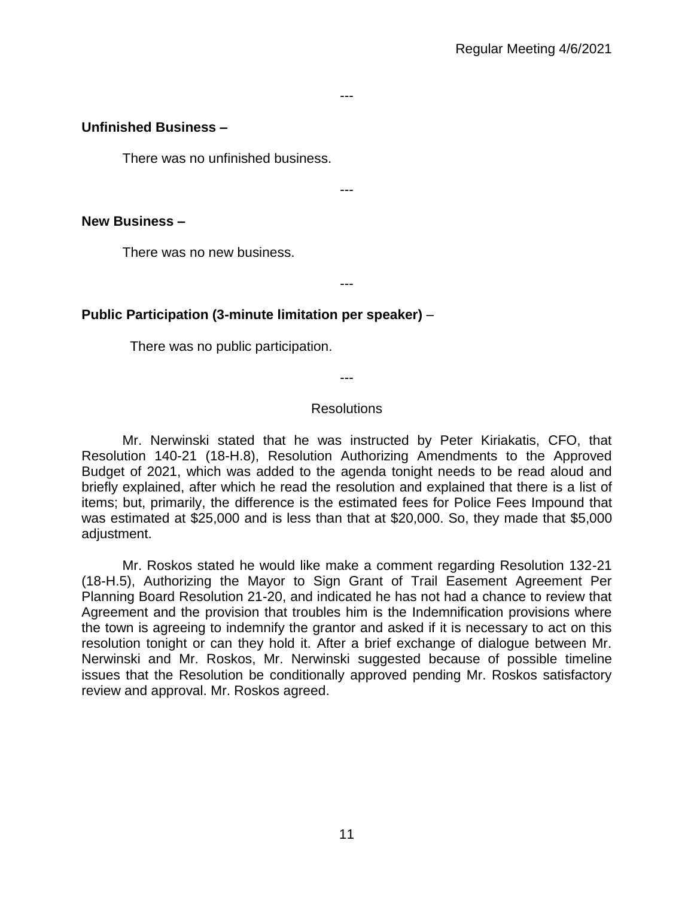#### ---

#### **Unfinished Business –**

There was no unfinished business.

---

---

#### **New Business –**

There was no new business.

## **Public Participation (3-minute limitation per speaker)** –

There was no public participation.

---

#### **Resolutions**

Mr. Nerwinski stated that he was instructed by Peter Kiriakatis, CFO, that Resolution 140-21 (18-H.8), Resolution Authorizing Amendments to the Approved Budget of 2021, which was added to the agenda tonight needs to be read aloud and briefly explained, after which he read the resolution and explained that there is a list of items; but, primarily, the difference is the estimated fees for Police Fees Impound that was estimated at \$25,000 and is less than that at \$20,000. So, they made that \$5,000 adjustment.

Mr. Roskos stated he would like make a comment regarding Resolution 132-21 (18-H.5), Authorizing the Mayor to Sign Grant of Trail Easement Agreement Per Planning Board Resolution 21-20, and indicated he has not had a chance to review that Agreement and the provision that troubles him is the Indemnification provisions where the town is agreeing to indemnify the grantor and asked if it is necessary to act on this resolution tonight or can they hold it. After a brief exchange of dialogue between Mr. Nerwinski and Mr. Roskos, Mr. Nerwinski suggested because of possible timeline issues that the Resolution be conditionally approved pending Mr. Roskos satisfactory review and approval. Mr. Roskos agreed.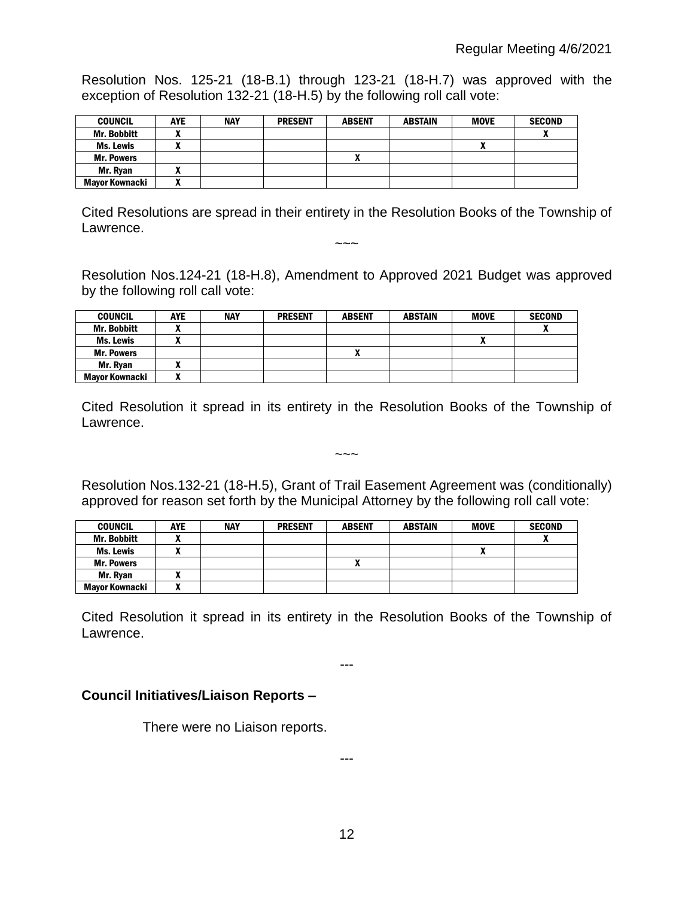Resolution Nos. 125-21 (18-B.1) through 123-21 (18-H.7) was approved with the exception of Resolution 132-21 (18-H.5) by the following roll call vote:

| <b>COUNCIL</b>        | <b>AYE</b> | <b>NAY</b> | <b>PRESENT</b> | <b>ABSENT</b> | <b>ABSTAIN</b> | <b>MOVE</b> | <b>SECOND</b> |
|-----------------------|------------|------------|----------------|---------------|----------------|-------------|---------------|
| <b>Mr. Bobbitt</b>    |            |            |                |               |                |             | v             |
| Ms. Lewis             |            |            |                |               |                |             |               |
| <b>Mr. Powers</b>     |            |            |                | Λ             |                |             |               |
| Mr. Ryan              |            |            |                |               |                |             |               |
| <b>Mayor Kownacki</b> |            |            |                |               |                |             |               |

Cited Resolutions are spread in their entirety in the Resolution Books of the Township of Lawrence.

 $\sim\sim\sim$ 

Resolution Nos.124-21 (18-H.8), Amendment to Approved 2021 Budget was approved by the following roll call vote:

| <b>COUNCIL</b>     | <b>AYE</b>   | <b>NAY</b> | <b>PRESENT</b> | <b>ABSENT</b> | <b>ABSTAIN</b> | <b>MOVE</b>  | <b>SECOND</b> |
|--------------------|--------------|------------|----------------|---------------|----------------|--------------|---------------|
| <b>Mr. Bobbitt</b> |              |            |                |               |                |              |               |
| <b>Ms. Lewis</b>   |              |            |                |               |                | $\mathbf{v}$ |               |
| <b>Mr. Powers</b>  |              |            |                |               |                |              |               |
| Mr. Ryan           |              |            |                |               |                |              |               |
| Mayor Kownacki     | $\mathbf{r}$ |            |                |               |                |              |               |

Cited Resolution it spread in its entirety in the Resolution Books of the Township of Lawrence.

 $\sim\sim\sim$ 

# Resolution Nos.132-21 (18-H.5), Grant of Trail Easement Agreement was (conditionally) approved for reason set forth by the Municipal Attorney by the following roll call vote:

| <b>COUNCIL</b>     | AYE | <b>NAY</b> | <b>PRESENT</b> | <b>ABSENT</b> | <b>ABSTAIN</b> | <b>MOVE</b> | <b>SECOND</b> |
|--------------------|-----|------------|----------------|---------------|----------------|-------------|---------------|
| <b>Mr. Bobbitt</b> |     |            |                |               |                |             |               |
| Ms. Lewis          |     |            |                |               |                | Δ           |               |
| <b>Mr. Powers</b>  |     |            |                |               |                |             |               |
| Mr. Rvan           |     |            |                |               |                |             |               |
| Mavor Kownacki     |     |            |                |               |                |             |               |

Cited Resolution it spread in its entirety in the Resolution Books of the Township of Lawrence.

---

# **Council Initiatives/Liaison Reports –**

There were no Liaison reports.

---